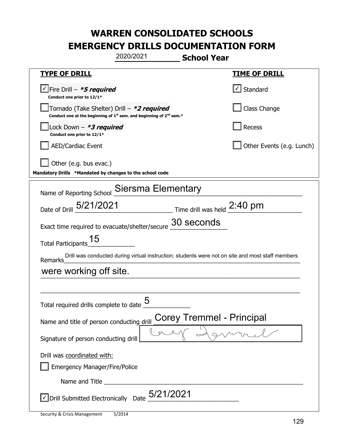| 2020/2021                                                                                                                                 | <b>School Year</b>                                                                               |  |
|-------------------------------------------------------------------------------------------------------------------------------------------|--------------------------------------------------------------------------------------------------|--|
| <b>TYPE OF DRILL</b>                                                                                                                      | <u>TIME OF DRILL</u>                                                                             |  |
| $\angle$ Fire Drill - *5 required<br>Conduct one prior to 12/1*                                                                           | $\lfloor \angle \rfloor$ Standard                                                                |  |
| Tornado (Take Shelter) Drill - *2 required<br>Conduct one at the beginning of 1 <sup>st</sup> sem. and beginning of 2 <sup>nd</sup> sem.* | Class Change                                                                                     |  |
| Lock Down - *3 required<br>Conduct one prior to 12/1*                                                                                     | Recess                                                                                           |  |
| <b>AED/Cardiac Event</b>                                                                                                                  | Other Events (e.g. Lunch)                                                                        |  |
| Other (e.g. bus evac.)<br>Mandatory Drills *Mandated by changes to the school code                                                        |                                                                                                  |  |
| Name of Reporting School Siersma Elementary                                                                                               |                                                                                                  |  |
| Date of Drill 5/21/2021 Time drill was held 2:40 pm                                                                                       |                                                                                                  |  |
| Exact time required to evacuate/shelter/secure                                                                                            | 30 seconds                                                                                       |  |
| 15<br><b>Total Participants</b>                                                                                                           |                                                                                                  |  |
| Remarks                                                                                                                                   | Drill was conducted during virtual instruction; students were not on site and most staff members |  |
| were working off site.                                                                                                                    |                                                                                                  |  |
|                                                                                                                                           |                                                                                                  |  |
| 5<br>Total required drills complete to date                                                                                               |                                                                                                  |  |
| <b>Corey Tremmel - Principal</b><br>Name and title of person conducting drill                                                             |                                                                                                  |  |
| Signature of person conducting drill                                                                                                      |                                                                                                  |  |
| Drill was coordinated with:                                                                                                               |                                                                                                  |  |
| <b>Emergency Manager/Fire/Police</b>                                                                                                      |                                                                                                  |  |
|                                                                                                                                           |                                                                                                  |  |
| Oprill Submitted Electronically Date 5/21/2021                                                                                            |                                                                                                  |  |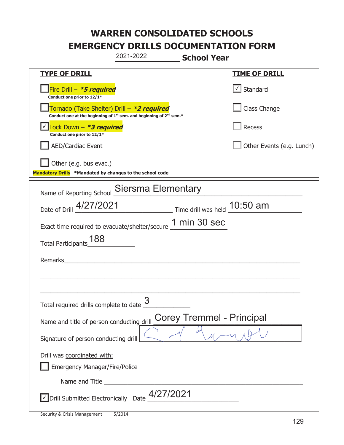|                                                                                    | 2021-2022                                                               | <b>School Year</b>               |                           |
|------------------------------------------------------------------------------------|-------------------------------------------------------------------------|----------------------------------|---------------------------|
| <b>TYPE OF DRILL</b>                                                               |                                                                         |                                  | <u>TIME OF DRILL</u>      |
| Fire Drill - *5 required<br>Conduct one prior to 12/1*                             |                                                                         |                                  | √ Standard                |
| Tornado (Take Shelter) Drill – *2 required                                         | Conduct one at the beginning of $1st$ sem. and beginning of $2nd$ sem.* |                                  | Class Change              |
| Lock Down - *3 required<br>Conduct one prior to 12/1*                              |                                                                         |                                  | Recess                    |
| <b>AED/Cardiac Event</b>                                                           |                                                                         |                                  | Other Events (e.g. Lunch) |
| Other (e.g. bus evac.)<br>Mandatory Drills *Mandated by changes to the school code |                                                                         |                                  |                           |
| Name of Reporting School                                                           | Siersma Elementary                                                      |                                  |                           |
| Date of Drill 4/27/2021                                                            |                                                                         | Time drill was held 10:50 am     |                           |
| Exact time required to evacuate/shelter/secure 1 min 30 sec                        |                                                                         |                                  |                           |
| 188<br><b>Total Participants</b>                                                   |                                                                         |                                  |                           |
| Remarks                                                                            |                                                                         |                                  |                           |
|                                                                                    |                                                                         |                                  |                           |
| Total required drills complete to date $\frac{9}{2}$                               | 3                                                                       |                                  |                           |
| Name and title of person conducting drill                                          |                                                                         | <b>Corey Tremmel - Principal</b> |                           |
| Signature of person conducting drill                                               |                                                                         |                                  |                           |
| Drill was coordinated with:<br><b>Emergency Manager/Fire/Police</b>                |                                                                         |                                  |                           |
| Name and Title                                                                     |                                                                         |                                  |                           |
| √ Drill Submitted Electronically                                                   | 4/27/2021<br>Date                                                       |                                  |                           |

t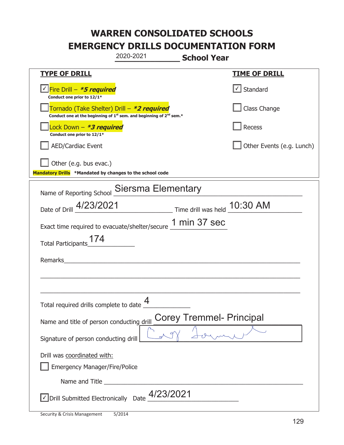|                                                                                    | 2020-2021                                                               | <b>School Year</b>                                   |
|------------------------------------------------------------------------------------|-------------------------------------------------------------------------|------------------------------------------------------|
| <u>TYPE OF DRILL</u>                                                               |                                                                         | <u>TIME OF DRILL</u>                                 |
| V Fire Drill - *5 required<br>Conduct one prior to 12/1*                           |                                                                         | √ Standard                                           |
| Tornado (Take Shelter) Drill – *2 required                                         | Conduct one at the beginning of $1st$ sem. and beginning of $2nd$ sem.* | Class Change                                         |
| Lock Down - *3 required<br>Conduct one prior to 12/1*                              |                                                                         | Recess                                               |
| AED/Cardiac Event                                                                  |                                                                         | Other Events (e.g. Lunch)                            |
| Other (e.g. bus evac.)<br>Mandatory Drills *Mandated by changes to the school code |                                                                         |                                                      |
|                                                                                    | Name of Reporting School Siersma Elementary                             |                                                      |
|                                                                                    |                                                                         | Date of Drill 4/23/2021 Time drill was held 10:30 AM |
|                                                                                    | Exact time required to evacuate/shelter/secure 1 min 37 sec             |                                                      |
| Total Participants_174                                                             |                                                                         |                                                      |
| Remarks                                                                            | <u> 1980 - Jan Stein Berlin, amerikan bisan</u>                         |                                                      |
|                                                                                    |                                                                         |                                                      |
| Total required drills complete to date $\frac{4}{1}$                               |                                                                         |                                                      |
| Name and title of person conducting drill                                          |                                                                         | <b>Corey Tremmel- Principal</b>                      |
| Signature of person conducting drill                                               |                                                                         |                                                      |
| Drill was coordinated with:<br><b>Emergency Manager/Fire/Police</b>                |                                                                         |                                                      |
|                                                                                    |                                                                         |                                                      |
| √ Drill Submitted Electronically Date                                              | 4/23/2021                                                               |                                                      |

t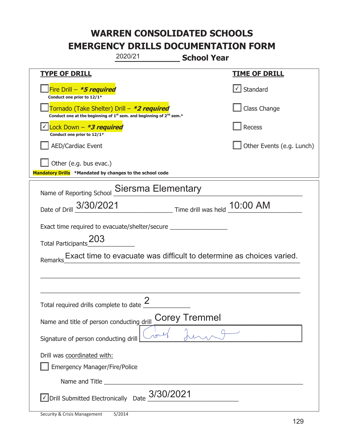| 2020/21                                                                                                               | <b>School Year</b>                                                   |
|-----------------------------------------------------------------------------------------------------------------------|----------------------------------------------------------------------|
| <b>TYPE OF DRILL</b>                                                                                                  | <u>TIME OF DRILL</u>                                                 |
| Fire Drill - *5 required<br>Conduct one prior to 12/1*                                                                | $\cup$ Standard                                                      |
| Tornado (Take Shelter) Drill – *2 required<br>Conduct one at the beginning of $1st$ sem. and beginning of $2nd$ sem.* | Class Change                                                         |
| Lock Down - *3 required<br>Conduct one prior to 12/1*                                                                 | Recess                                                               |
| <b>AED/Cardiac Event</b>                                                                                              | Other Events (e.g. Lunch)                                            |
| Other (e.g. bus evac.)<br>Mandatory Drills *Mandated by changes to the school code                                    |                                                                      |
| Name of Reporting School Siersma Elementary                                                                           |                                                                      |
| Date of Drill 3/30/2021 Time drill was held 10:00 AM                                                                  |                                                                      |
| Exact time required to evacuate/shelter/secure _________________________________                                      |                                                                      |
| 203<br><b>Total Participants</b>                                                                                      |                                                                      |
| Remarks                                                                                                               | Exact time to evacuate was difficult to determine as choices varied. |
|                                                                                                                       |                                                                      |
|                                                                                                                       |                                                                      |
| Total required drills complete to date $\frac{2}{3}$                                                                  |                                                                      |
| Name and title of person conducting drill                                                                             | <b>Corey Tremmel</b>                                                 |
| Signature of person conducting drill                                                                                  |                                                                      |
| Drill was coordinated with:                                                                                           |                                                                      |
| <b>Emergency Manager/Fire/Police</b>                                                                                  |                                                                      |
|                                                                                                                       |                                                                      |
| √ Drill Submitted Electronically Date                                                                                 | 3/30/2021                                                            |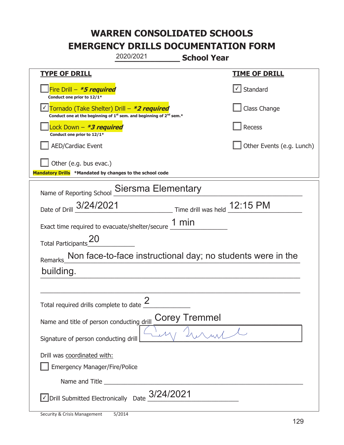| 2020/2021                                                                                                                                 | <b>School Year</b>                                          |  |  |
|-------------------------------------------------------------------------------------------------------------------------------------------|-------------------------------------------------------------|--|--|
| <b>TYPE OF DRILL</b>                                                                                                                      | <u>TIME OF DRILL</u>                                        |  |  |
| Fire Drill - *5 required<br>Conduct one prior to 12/1*                                                                                    | $\cup$ Standard                                             |  |  |
| Tornado (Take Shelter) Drill - *2 required<br>Conduct one at the beginning of 1 <sup>st</sup> sem. and beginning of 2 <sup>nd</sup> sem.* | Class Change                                                |  |  |
| Lock Down – <b>*<i>3 required</i></b><br>Conduct one prior to 12/1*                                                                       | Recess                                                      |  |  |
| <b>AED/Cardiac Event</b>                                                                                                                  | Other Events (e.g. Lunch)                                   |  |  |
| Other (e.g. bus evac.)<br>Mandatory Drills *Mandated by changes to the school code                                                        |                                                             |  |  |
| Name of Reporting School Siersma Elementary                                                                                               |                                                             |  |  |
| Date of Drill 3/24/2021                                                                                                                   | Time drill was held 12:15 PM                                |  |  |
| Exact time required to evacuate/shelter/secure $\underline{\hspace{1em} 1\hspace{1em} min}$                                               |                                                             |  |  |
| <b>ZO</b><br>Total Participants                                                                                                           |                                                             |  |  |
| <b>Remarks</b>                                                                                                                            | Non face-to-face instructional day; no students were in the |  |  |
| building.                                                                                                                                 |                                                             |  |  |
|                                                                                                                                           |                                                             |  |  |
| Total required drills complete to date $\frac{2}{3}$                                                                                      |                                                             |  |  |
| <b>Corey Tremmel</b><br>Name and title of person conducting drill                                                                         |                                                             |  |  |
| Signature of person conducting drill                                                                                                      |                                                             |  |  |
| Drill was coordinated with:                                                                                                               |                                                             |  |  |
| <b>Emergency Manager/Fire/Police</b>                                                                                                      |                                                             |  |  |
|                                                                                                                                           |                                                             |  |  |
| $\vee$ Drill Submitted Electronically Date $3/24/2021$                                                                                    |                                                             |  |  |

T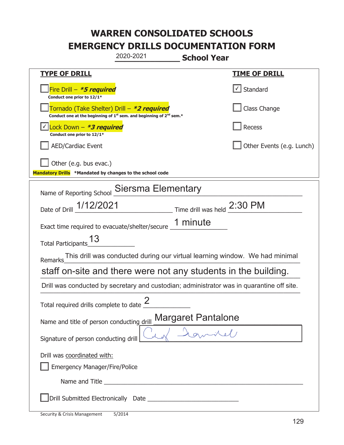| 2020-2021                                                                                                                                 | <b>School Year</b>                                                          |
|-------------------------------------------------------------------------------------------------------------------------------------------|-----------------------------------------------------------------------------|
| <b>TYPE OF DRILL</b>                                                                                                                      | <u>TIME OF DRILL</u>                                                        |
| Fire Drill - *5 required<br>Conduct one prior to 12/1*                                                                                    | $\vert \cdot \vert$ Standard                                                |
| Tornado (Take Shelter) Drill – *2 required<br>Conduct one at the beginning of 1 <sup>st</sup> sem. and beginning of 2 <sup>nd</sup> sem.* | Class Change                                                                |
| Lock Down - *3 required<br>Conduct one prior to 12/1*                                                                                     | Recess                                                                      |
| <b>AED/Cardiac Event</b>                                                                                                                  | Other Events (e.g. Lunch)                                                   |
| Other (e.g. bus evac.)<br>Mandatory Drills *Mandated by changes to the school code                                                        |                                                                             |
| Name of Reporting School Siersma Elementary                                                                                               |                                                                             |
| Date of Drill 1/12/2021 Time drill was held 2:30 PM                                                                                       |                                                                             |
| Exact time required to evacuate/shelter/secure 1 minute                                                                                   |                                                                             |
| Total Participants_13                                                                                                                     |                                                                             |
| <b>Remarks</b>                                                                                                                            | This drill was conducted during our virtual learning window. We had minimal |
| staff on-site and there were not any students in the building.                                                                            |                                                                             |
| Drill was conducted by secretary and custodian; administrator was in quarantine off site.                                                 |                                                                             |
| Total required drills complete to date $\frac{2}{3}$                                                                                      |                                                                             |
| Name and title of person conducting drill                                                                                                 | <b>Margaret Pantalone</b>                                                   |
| Signature of person conducting drill                                                                                                      |                                                                             |
| Drill was coordinated with:                                                                                                               |                                                                             |
| <b>Emergency Manager/Fire/Police</b>                                                                                                      |                                                                             |
|                                                                                                                                           |                                                                             |
|                                                                                                                                           |                                                                             |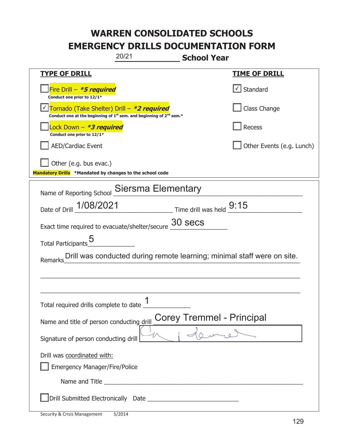| 20/21<br><b>School Year</b>                                                                                                               |                           |  |
|-------------------------------------------------------------------------------------------------------------------------------------------|---------------------------|--|
| <b>TYPE OF DRILL</b>                                                                                                                      | <u>TIME OF DRILL</u>      |  |
| Fire Drill - <b>*5 required</b><br>Conduct one prior to 12/1*                                                                             | $\cup$ Standard           |  |
| Tornado (Take Shelter) Drill - *2 required<br>Conduct one at the beginning of 1 <sup>st</sup> sem. and beginning of 2 <sup>nd</sup> sem.* | Class Change              |  |
| Lock Down – <b>*<i>3 required</i></b><br>Conduct one prior to 12/1*                                                                       | Recess                    |  |
| <b>AED/Cardiac Event</b>                                                                                                                  | Other Events (e.g. Lunch) |  |
| Other (e.g. bus evac.)<br>Mandatory Drills *Mandated by changes to the school code                                                        |                           |  |
| Name of Reporting School Siersma Elementary                                                                                               |                           |  |
| Date of Drill 1/08/2021 Time drill was held 9:15                                                                                          |                           |  |
| Exact time required to evacuate/shelter/secure $\frac{30}{2}$ Secs                                                                        |                           |  |
| Total Participants_5                                                                                                                      |                           |  |
| Drill was conducted during remote learning; minimal staff were on site.<br>Remarks                                                        |                           |  |
|                                                                                                                                           |                           |  |
|                                                                                                                                           |                           |  |
| 1<br>Total required drills complete to date _                                                                                             |                           |  |
| <b>Corey Tremmel - Principal</b><br>Name and title of person conducting drill                                                             |                           |  |
| Signature of person conducting drill                                                                                                      |                           |  |
| Drill was coordinated with:                                                                                                               |                           |  |
| Emergency Manager/Fire/Police                                                                                                             |                           |  |
|                                                                                                                                           |                           |  |
|                                                                                                                                           |                           |  |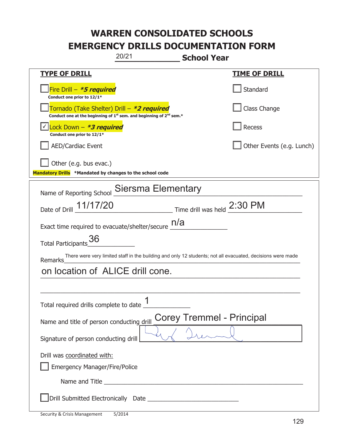| 20/21                                                                                                                        | <b>School Year</b>                                            |  |  |  |
|------------------------------------------------------------------------------------------------------------------------------|---------------------------------------------------------------|--|--|--|
| <b>TYPE OF DRILL</b>                                                                                                         | <b>TIME OF DRILL</b>                                          |  |  |  |
| Fire Drill - *5 required<br>Conduct one prior to 12/1*                                                                       | Standard                                                      |  |  |  |
| Tornado (Take Shelter) Drill – *2 required<br>Conduct one at the beginning of $1^{st}$ sem. and beginning of $2^{nd}$ sem.*  | Class Change                                                  |  |  |  |
| Lock Down - <b>*3 required</b><br>Conduct one prior to 12/1*                                                                 | <b>Recess</b>                                                 |  |  |  |
| <b>AED/Cardiac Event</b>                                                                                                     | Other Events (e.g. Lunch)                                     |  |  |  |
| Other (e.g. bus evac.)<br>Mandatory Drills *Mandated by changes to the school code                                           |                                                               |  |  |  |
| Name of Reporting School Siersma Elementary                                                                                  |                                                               |  |  |  |
| Date of Drill 11/17/20                                                                                                       | $\frac{1}{2}$ Time drill was held $\frac{2:30 \text{ PM}}{4}$ |  |  |  |
| Exact time required to evacuate/shelter/secure $\underline{\hspace{1em} n/a}$                                                |                                                               |  |  |  |
| Total Participants <sup>36</sup>                                                                                             |                                                               |  |  |  |
| There were very limited staff in the building and only 12 students; not all evacuated, decisions were made<br><b>Remarks</b> |                                                               |  |  |  |
| on location of ALICE drill cone.                                                                                             |                                                               |  |  |  |
|                                                                                                                              |                                                               |  |  |  |
| 1<br>Total required drills complete to date _                                                                                |                                                               |  |  |  |
| <b>Corey Tremmel - Principal</b><br>Name and title of person conducting drill                                                |                                                               |  |  |  |
| Signature of person conducting drill                                                                                         |                                                               |  |  |  |
| Drill was coordinated with:                                                                                                  |                                                               |  |  |  |
| <b>Emergency Manager/Fire/Police</b>                                                                                         |                                                               |  |  |  |
|                                                                                                                              |                                                               |  |  |  |
|                                                                                                                              |                                                               |  |  |  |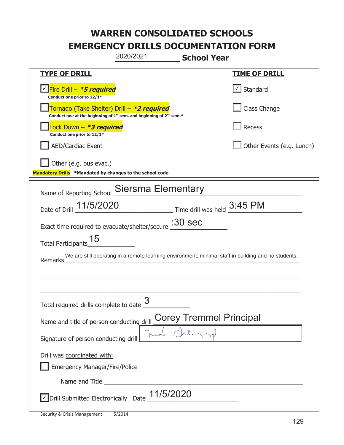| 2020/2021                                                                                                                                 | <b>School Year</b>                                                                                  |
|-------------------------------------------------------------------------------------------------------------------------------------------|-----------------------------------------------------------------------------------------------------|
| <b>TYPE OF DRILL</b>                                                                                                                      | <u>TIME OF DRILL</u>                                                                                |
| <u>√ <mark>Fire Drill – <i>*<b>5 required</b></i></mark></u><br>Conduct one prior to 12/1*                                                | $\cup$ Standard                                                                                     |
| Tornado (Take Shelter) Drill – *2 required<br>Conduct one at the beginning of 1 <sup>st</sup> sem. and beginning of 2 <sup>nd</sup> sem.* | Class Change                                                                                        |
| Lock Down – <b>*3 required</b><br>Conduct one prior to 12/1*                                                                              | <b>Recess</b>                                                                                       |
| <b>AED/Cardiac Event</b>                                                                                                                  | Other Events (e.g. Lunch)                                                                           |
| Other (e.g. bus evac.)<br>Mandatory Drills *Mandated by changes to the school code                                                        |                                                                                                     |
| Name of Reporting School Siersma Elementary                                                                                               |                                                                                                     |
| Date of Drill 11/5/2020 Time drill was held 3:45 PM                                                                                       |                                                                                                     |
| Exact time required to evacuate/shelter/secure : 30 Sec                                                                                   |                                                                                                     |
| 15<br><b>Total Participants</b>                                                                                                           |                                                                                                     |
| Remarks                                                                                                                                   | We are still operating in a remote learning environment; minimal staff in building and no students. |
|                                                                                                                                           |                                                                                                     |
|                                                                                                                                           |                                                                                                     |
| Total required drills complete to date $\frac{3}{2}$                                                                                      |                                                                                                     |
| Name and title of person conducting drill                                                                                                 | <b>Corey Tremmel Principal</b>                                                                      |
| Signature of person conducting drill                                                                                                      |                                                                                                     |
| Drill was coordinated with:                                                                                                               |                                                                                                     |
| Emergency Manager/Fire/Police                                                                                                             |                                                                                                     |
|                                                                                                                                           |                                                                                                     |
| √ Drill Submitted Electronically Date                                                                                                     | 11/5/2020                                                                                           |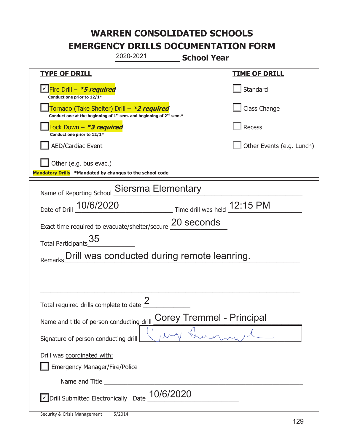|                                                                                    | 2020-2021                                                                     | <b>School Year</b>               |                           |
|------------------------------------------------------------------------------------|-------------------------------------------------------------------------------|----------------------------------|---------------------------|
| <b>TYPE OF DRILL</b>                                                               |                                                                               |                                  | <u>TIME OF DRILL</u>      |
| Fire Drill - *5 required<br>Conduct one prior to 12/1*                             |                                                                               |                                  | Standard                  |
| Tornado (Take Shelter) Drill – *2 required                                         | Conduct one at the beginning of $1^{st}$ sem. and beginning of $2^{nd}$ sem.* |                                  | Class Change              |
| Lock Down – <i>*<b>3 required</b></i><br>Conduct one prior to 12/1*                |                                                                               |                                  | Recess                    |
| <b>AED/Cardiac Event</b>                                                           |                                                                               |                                  | Other Events (e.g. Lunch) |
| Other (e.g. bus evac.)<br>Mandatory Drills *Mandated by changes to the school code |                                                                               |                                  |                           |
| Name of Reporting School                                                           | Siersma Elementary                                                            |                                  |                           |
| Date of Drill _ 10/6/2020                                                          |                                                                               | Time drill was held 12:15 PM     |                           |
| Exact time required to evacuate/shelter/secure 20 seconds                          |                                                                               |                                  |                           |
| 35<br><b>Total Participants</b>                                                    |                                                                               |                                  |                           |
| Remarks                                                                            | Drill was conducted during remote leanring.                                   |                                  |                           |
|                                                                                    |                                                                               |                                  |                           |
|                                                                                    |                                                                               |                                  |                           |
| Total required drills complete to date $\frac{2}{3}$                               |                                                                               |                                  |                           |
| Name and title of person conducting drill                                          |                                                                               | <b>Corey Tremmel - Principal</b> |                           |
| Signature of person conducting drill                                               |                                                                               |                                  |                           |
| Drill was coordinated with:<br><b>Emergency Manager/Fire/Police</b>                |                                                                               |                                  |                           |
|                                                                                    |                                                                               |                                  |                           |
| √ Drill Submitted Electronically Date                                              | 10/6/2020                                                                     |                                  |                           |

t